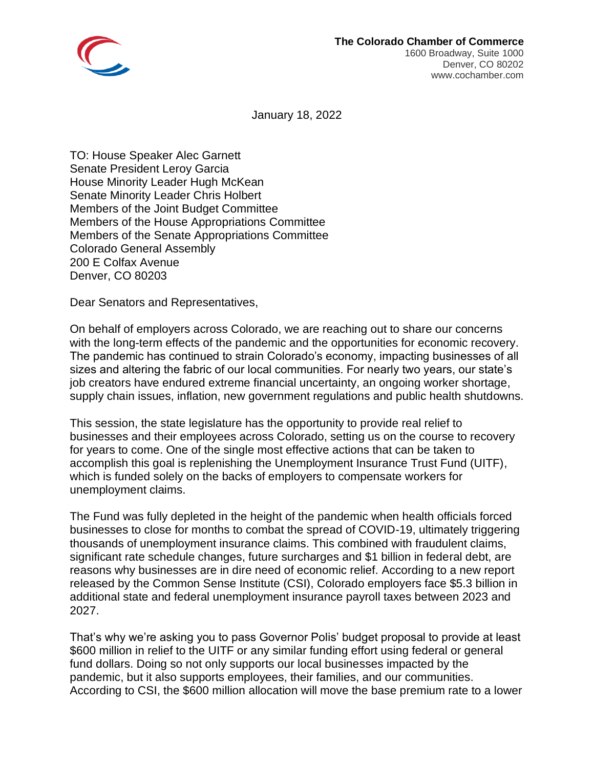

January 18, 2022

TO: House Speaker Alec Garnett Senate President Leroy Garcia House Minority Leader Hugh McKean Senate Minority Leader Chris Holbert Members of the Joint Budget Committee Members of the House Appropriations Committee Members of the Senate Appropriations Committee Colorado General Assembly 200 E Colfax Avenue Denver, CO 80203

Dear Senators and Representatives,

On behalf of employers across Colorado, we are reaching out to share our concerns with the long-term effects of the pandemic and the opportunities for economic recovery. The pandemic has continued to strain Colorado's economy, impacting businesses of all sizes and altering the fabric of our local communities. For nearly two years, our state's job creators have endured extreme financial uncertainty, an ongoing worker shortage, supply chain issues, inflation, new government regulations and public health shutdowns.

This session, the state legislature has the opportunity to provide real relief to businesses and their employees across Colorado, setting us on the course to recovery for years to come. One of the single most effective actions that can be taken to accomplish this goal is replenishing the Unemployment Insurance Trust Fund (UITF), which is funded solely on the backs of employers to compensate workers for unemployment claims.

The Fund was fully depleted in the height of the pandemic when health officials forced businesses to close for months to combat the spread of COVID-19, ultimately triggering thousands of unemployment insurance claims. This combined with fraudulent claims, significant rate schedule changes, future surcharges and \$1 billion in federal debt, are reasons why businesses are in dire need of economic relief. According to a new report released by the Common Sense Institute (CSI), Colorado employers face \$5.3 billion in additional state and federal unemployment insurance payroll taxes between 2023 and 2027.

That's why we're asking you to pass Governor Polis' budget proposal to provide at least \$600 million in relief to the UITF or any similar funding effort using federal or general fund dollars. Doing so not only supports our local businesses impacted by the pandemic, but it also supports employees, their families, and our communities. According to CSI, the \$600 million allocation will move the base premium rate to a lower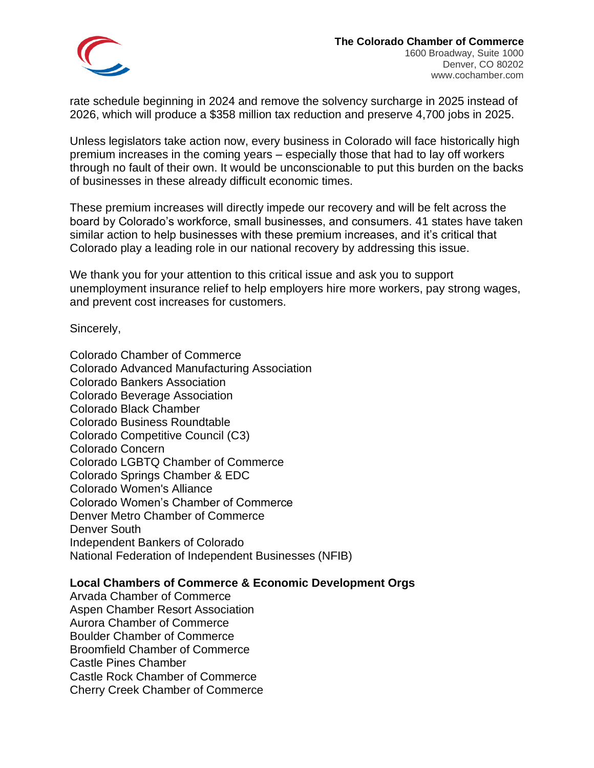

rate schedule beginning in 2024 and remove the solvency surcharge in 2025 instead of 2026, which will produce a \$358 million tax reduction and preserve 4,700 jobs in 2025.

Unless legislators take action now, every business in Colorado will face historically high premium increases in the coming years – especially those that had to lay off workers through no fault of their own. It would be unconscionable to put this burden on the backs of businesses in these already difficult economic times.

These premium increases will directly impede our recovery and will be felt across the board by Colorado's workforce, small businesses, and consumers. 41 states have taken similar action to help businesses with these premium increases, and it's critical that Colorado play a leading role in our national recovery by addressing this issue.

We thank you for your attention to this critical issue and ask you to support unemployment insurance relief to help employers hire more workers, pay strong wages, and prevent cost increases for customers.

Sincerely,

Colorado Chamber of Commerce Colorado Advanced Manufacturing Association Colorado Bankers Association Colorado Beverage Association Colorado Black Chamber Colorado Business Roundtable Colorado Competitive Council (C3) Colorado Concern Colorado LGBTQ Chamber of Commerce Colorado Springs Chamber & EDC Colorado Women's Alliance Colorado Women's Chamber of Commerce Denver Metro Chamber of Commerce Denver South Independent Bankers of Colorado National Federation of Independent Businesses (NFIB)

## **Local Chambers of Commerce & Economic Development Orgs**

Arvada Chamber of Commerce Aspen Chamber Resort Association Aurora Chamber of Commerce Boulder Chamber of Commerce Broomfield Chamber of Commerce Castle Pines Chamber Castle Rock Chamber of Commerce Cherry Creek Chamber of Commerce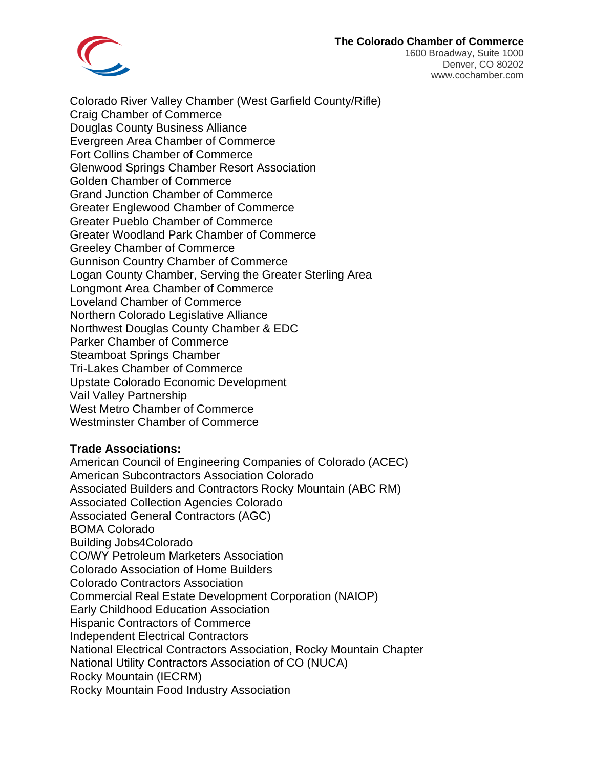## **The Colorado Chamber of Commerce**



1600 Broadway, Suite 1000 Denver, CO 80202 www.cochamber.com

Colorado River Valley Chamber (West Garfield County/Rifle) Craig Chamber of Commerce Douglas County Business Alliance Evergreen Area Chamber of Commerce Fort Collins Chamber of Commerce Glenwood Springs Chamber Resort Association Golden Chamber of Commerce Grand Junction Chamber of Commerce Greater Englewood Chamber of Commerce Greater Pueblo Chamber of Commerce Greater Woodland Park Chamber of Commerce Greeley Chamber of Commerce Gunnison Country Chamber of Commerce Logan County Chamber, Serving the Greater Sterling Area Longmont Area Chamber of Commerce Loveland Chamber of Commerce Northern Colorado Legislative Alliance Northwest Douglas County Chamber & EDC Parker Chamber of Commerce Steamboat Springs Chamber Tri-Lakes Chamber of Commerce Upstate Colorado Economic Development Vail Valley Partnership West Metro Chamber of Commerce Westminster Chamber of Commerce

## **Trade Associations:**

American Council of Engineering Companies of Colorado (ACEC) American Subcontractors Association Colorado Associated Builders and Contractors Rocky Mountain (ABC RM) Associated Collection Agencies Colorado Associated General Contractors (AGC) BOMA Colorado Building Jobs4Colorado CO/WY Petroleum Marketers Association Colorado Association of Home Builders Colorado Contractors Association Commercial Real Estate Development Corporation (NAIOP) Early Childhood Education Association Hispanic Contractors of Commerce Independent Electrical Contractors National Electrical Contractors Association, Rocky Mountain Chapter National Utility Contractors Association of CO (NUCA) Rocky Mountain (IECRM) Rocky Mountain Food Industry Association